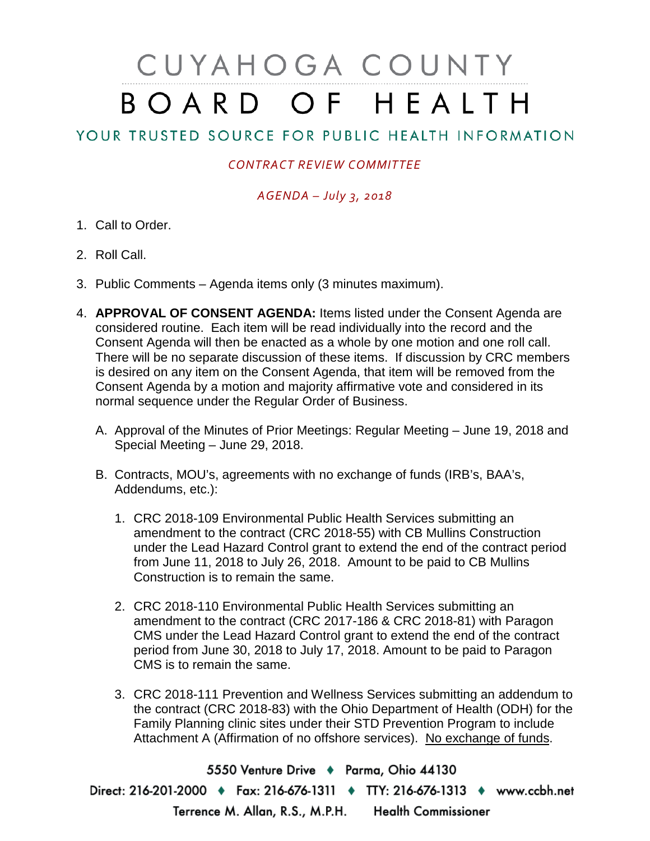# CUYAHOGA COUNTY BOARD OF HEALTH

## YOUR TRUSTED SOURCE FOR PUBLIC HEALTH INFORMATION

### *CONTRACT REVIEW COMMITTEE*

### *AGENDA – July 3, 2018*

- 1. Call to Order.
- 2. Roll Call.
- 3. Public Comments Agenda items only (3 minutes maximum).
- 4. **APPROVAL OF CONSENT AGENDA:** Items listed under the Consent Agenda are considered routine. Each item will be read individually into the record and the Consent Agenda will then be enacted as a whole by one motion and one roll call. There will be no separate discussion of these items. If discussion by CRC members is desired on any item on the Consent Agenda, that item will be removed from the Consent Agenda by a motion and majority affirmative vote and considered in its normal sequence under the Regular Order of Business.
	- A. Approval of the Minutes of Prior Meetings: Regular Meeting June 19, 2018 and Special Meeting – June 29, 2018.
	- B. Contracts, MOU's, agreements with no exchange of funds (IRB's, BAA's, Addendums, etc.):
		- 1. CRC 2018-109 Environmental Public Health Services submitting an amendment to the contract (CRC 2018-55) with CB Mullins Construction under the Lead Hazard Control grant to extend the end of the contract period from June 11, 2018 to July 26, 2018. Amount to be paid to CB Mullins Construction is to remain the same.
		- 2. CRC 2018-110 Environmental Public Health Services submitting an amendment to the contract (CRC 2017-186 & CRC 2018-81) with Paragon CMS under the Lead Hazard Control grant to extend the end of the contract period from June 30, 2018 to July 17, 2018. Amount to be paid to Paragon CMS is to remain the same.
		- 3. CRC 2018-111 Prevention and Wellness Services submitting an addendum to the contract (CRC 2018-83) with the Ohio Department of Health (ODH) for the Family Planning clinic sites under their STD Prevention Program to include Attachment A (Affirmation of no offshore services). No exchange of funds.

5550 Venture Drive + Parma, Ohio 44130 Direct: 216-201-2000 • Fax: 216-676-1311 • TTY: 216-676-1313 • www.ccbh.net Terrence M. Allan, R.S., M.P.H. Health Commissioner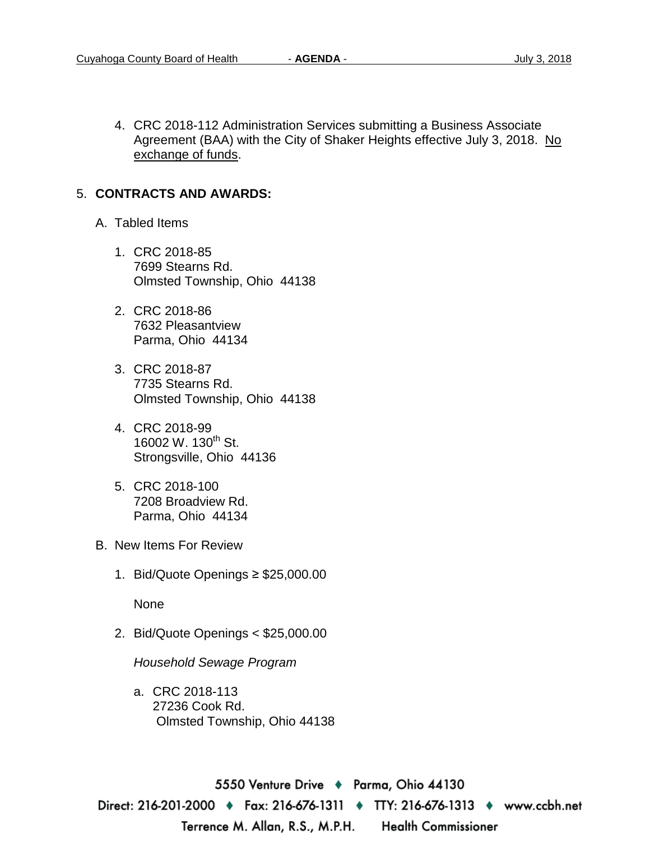4. CRC 2018-112 Administration Services submitting a Business Associate Agreement (BAA) with the City of Shaker Heights effective July 3, 2018. No exchange of funds.

#### 5. **CONTRACTS AND AWARDS:**

- A. Tabled Items
	- 1. CRC 2018-85 7699 Stearns Rd. Olmsted Township, Ohio 44138
	- 2. CRC 2018-86 7632 Pleasantview Parma, Ohio 44134
	- 3. CRC 2018-87 7735 Stearns Rd. Olmsted Township, Ohio 44138
	- 4. CRC 2018-99 16002 W. 130<sup>th</sup> St. Strongsville, Ohio 44136
	- 5. CRC 2018-100 7208 Broadview Rd. Parma, Ohio 44134
- B. New Items For Review
	- 1. Bid/Quote Openings ≥ \$25,000.00

None

2. Bid/Quote Openings < \$25,000.00

*Household Sewage Program* 

a. CRC 2018-113 27236 Cook Rd. Olmsted Township, Ohio 44138

5550 Venture Drive + Parma, Ohio 44130 Direct: 216-201-2000 ♦ Fax: 216-676-1311 ♦ TTY: 216-676-1313 ♦ www.ccbh.net Terrence M. Allan, R.S., M.P.H. **Health Commissioner**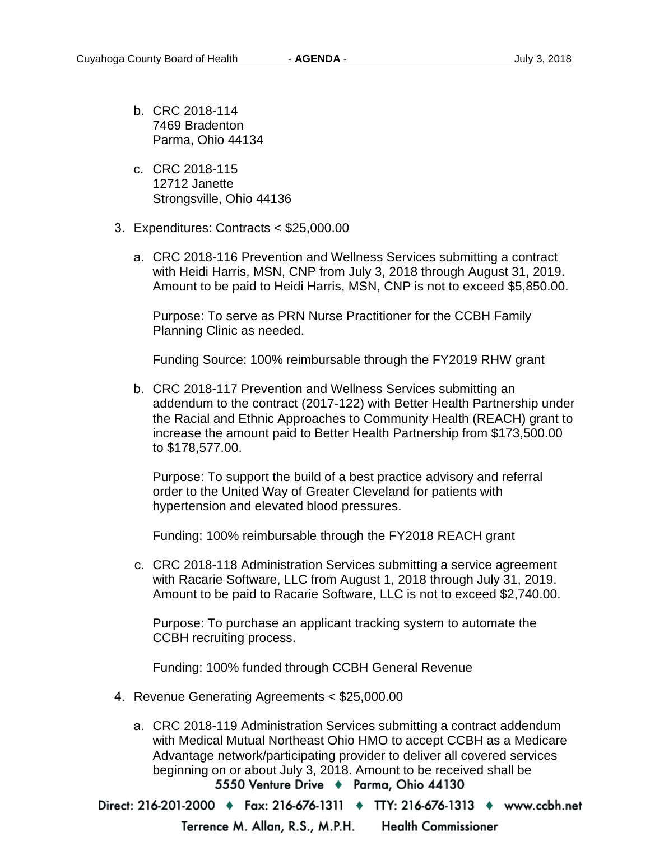- b. CRC 2018-114 7469 Bradenton Parma, Ohio 44134
- c. CRC 2018-115 12712 Janette Strongsville, Ohio 44136
- 3. Expenditures: Contracts < \$25,000.00
	- a. CRC 2018-116 Prevention and Wellness Services submitting a contract with Heidi Harris, MSN, CNP from July 3, 2018 through August 31, 2019. Amount to be paid to Heidi Harris, MSN, CNP is not to exceed \$5,850.00.

Purpose: To serve as PRN Nurse Practitioner for the CCBH Family Planning Clinic as needed.

Funding Source: 100% reimbursable through the FY2019 RHW grant

b. CRC 2018-117 Prevention and Wellness Services submitting an addendum to the contract (2017-122) with Better Health Partnership under the Racial and Ethnic Approaches to Community Health (REACH) grant to increase the amount paid to Better Health Partnership from \$173,500.00 to \$178,577.00.

Purpose: To support the build of a best practice advisory and referral order to the United Way of Greater Cleveland for patients with hypertension and elevated blood pressures.

Funding: 100% reimbursable through the FY2018 REACH grant

c. CRC 2018-118 Administration Services submitting a service agreement with Racarie Software, LLC from August 1, 2018 through July 31, 2019. Amount to be paid to Racarie Software, LLC is not to exceed \$2,740.00.

Purpose: To purchase an applicant tracking system to automate the CCBH recruiting process.

Funding: 100% funded through CCBH General Revenue

- 4. Revenue Generating Agreements < \$25,000.00
	- a. CRC 2018-119 Administration Services submitting a contract addendum with Medical Mutual Northeast Ohio HMO to accept CCBH as a Medicare Advantage network/participating provider to deliver all covered services beginning on or about July 3, 2018. Amount to be received shall be<br>5550 Venture Drive • Parma, Ohio 44130

Direct: 216-201-2000 ♦ Fax: 216-676-1311 ♦ TTY: 216-676-1313 ♦ www.ccbh.net

Terrence M. Allan, R.S., M.P.H. **Health Commissioner**